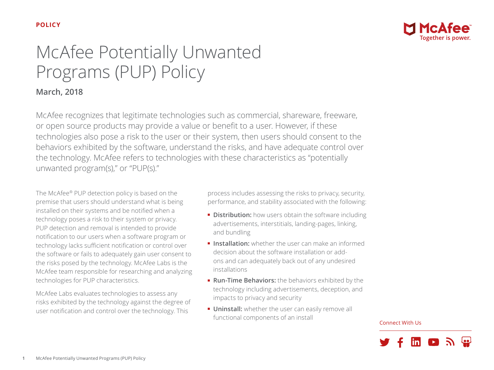

# McAfee Potentially Unwanted Programs (PUP) Policy

## **March, 2018**

McAfee recognizes that legitimate technologies such as commercial, shareware, freeware, or open source products may provide a value or benefit to a user. However, if these technologies also pose a risk to the user or their system, then users should consent to the behaviors exhibited by the software, understand the risks, and have adequate control over the technology. McAfee refers to technologies with these characteristics as "potentially unwanted program(s)," or "PUP(s)."

The McAfee® PUP detection policy is based on the premise that users should understand what is being installed on their systems and be notified when a technology poses a risk to their system or privacy. PUP detection and removal is intended to provide notification to our users when a software program or technology lacks sufficient notification or control over the software or fails to adequately gain user consent to the risks posed by the technology. McAfee Labs is the McAfee team responsible for researching and analyzing technologies for PUP characteristics.

McAfee Labs evaluates technologies to assess any risks exhibited by the technology against the degree of user notification and control over the technology. This

process includes assessing the risks to privacy, security, performance, and stability associated with the following:

- **Distribution:** how users obtain the software including advertisements, interstitials, landing-pages, linking, and bundling
- **Installation:** whether the user can make an informed decision about the software installation or addons and can adequately back out of any undesired installations
- **Run-Time Behaviors:** the behaviors exhibited by the technology including advertisements, deception, and impacts to privacy and security
- **Uninstall:** whether the user can easily remove all functional components of an install

#### Connect With Us

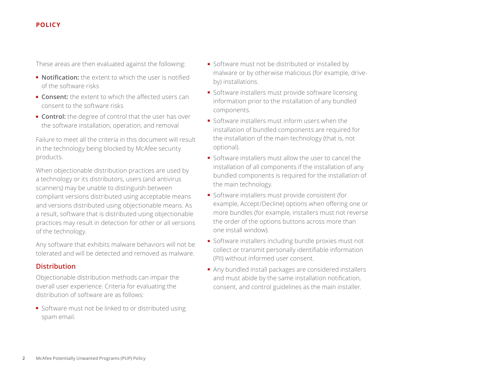These areas are then evaluated against the following:

- **Notification:** the extent to which the user is notified of the software risks
- **Consent:** the extent to which the affected users can consent to the software risks
- **Control:** the degree of control that the user has over the software installation, operation, and removal

Failure to meet all the criteria in this document will result in the technology being blocked by McAfee security products.

When objectionable distribution practices are used by a technology or its distributors, users (and antivirus scanners) may be unable to distinguish between compliant versions distributed using acceptable means and versions distributed using objectionable means. As a result, software that is distributed using objectionable practices may result in detection for other or all versions of the technology.

Any software that exhibits malware behaviors will not be tolerated and will be detected and removed as malware.

#### **Distribution**

Objectionable distribution methods can impair the overall user experience. Criteria for evaluating the distribution of software are as follows:

■ Software must not be linked to or distributed using spam email.

- Software must not be distributed or installed by malware or by otherwise malicious (for example, driveby) installations.
- Software installers must provide software licensing information prior to the installation of any bundled components.
- Software installers must inform users when the installation of bundled components are required for the installation of the main technology (that is, not optional).
- Software installers must allow the user to cancel the installation of all components if the installation of any bundled components is required for the installation of the main technology.
- Software installers must provide consistent (for example, Accept/Decline) options when offering one or more bundles (for example, installers must not reverse the order of the options buttons across more than one install window).
- Software installers including bundle proxies must not collect or transmit personally identifiable information (PII) without informed user consent.
- Any bundled install packages are considered installers and must abide by the same installation notification, consent, and control guidelines as the main installer.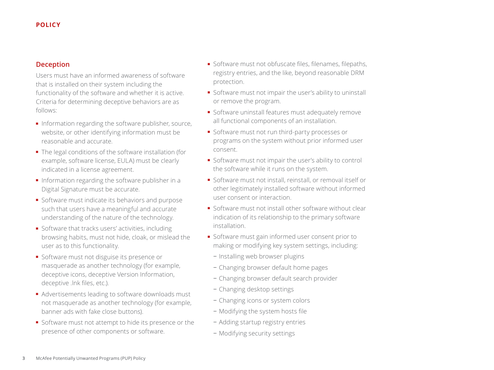#### **Deception**

Users must have an informed awareness of software that is installed on their system including the functionality of the software and whether it is active. Criteria for determining deceptive behaviors are as follows:

- Information regarding the software publisher, source, website, or other identifying information must be reasonable and accurate.
- The legal conditions of the software installation (for example, software license, EULA) must be clearly indicated in a license agreement.
- Information regarding the software publisher in a Digital Signature must be accurate.
- Software must indicate its behaviors and purpose such that users have a meaningful and accurate understanding of the nature of the technology.
- Software that tracks users' activities, including browsing habits, must not hide, cloak, or mislead the user as to this functionality.
- Software must not disguise its presence or masquerade as another technology (for example, deceptive icons, deceptive Version Information, deceptive .lnk files, etc.).
- Advertisements leading to software downloads must not masquerade as another technology (for example, banner ads with fake close buttons).
- Software must not attempt to hide its presence or the presence of other components or software.
- Software must not obfuscate files, filenames, filepaths, registry entries, and the like, beyond reasonable DRM protection.
- Software must not impair the user's ability to uninstall or remove the program.
- Software uninstall features must adequately remove all functional components of an installation.
- Software must not run third-party processes or programs on the system without prior informed user consent.
- Software must not impair the user's ability to control the software while it runs on the system.
- Software must not install, reinstall, or removal itself or other legitimately installed software without informed user consent or interaction.
- Software must not install other software without clear indication of its relationship to the primary software installation.
- Software must gain informed user consent prior to making or modifying key system settings, including:
	- − Installing web browser plugins
	- − Changing browser default home pages
	- − Changing browser default search provider
	- − Changing desktop settings
	- − Changing icons or system colors
	- − Modifying the system hosts file
	- − Adding startup registry entries
	- − Modifying security settings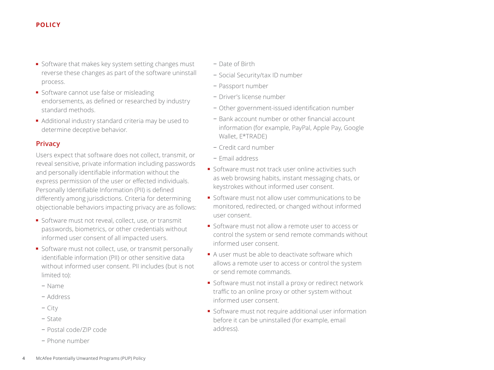- Software that makes key system setting changes must reverse these changes as part of the software uninstall process.
- Software cannot use false or misleading endorsements, as defined or researched by industry standard methods.
- Additional industry standard criteria may be used to determine deceptive behavior.

#### **Privacy**

Users expect that software does not collect, transmit, or reveal sensitive, private information including passwords and personally identifiable information without the express permission of the user or effected individuals. Personally Identifiable Information (PII) is defined differently among jurisdictions. Criteria for determining objectionable behaviors impacting privacy are as follows:

- Software must not reveal, collect, use, or transmit passwords, biometrics, or other credentials without informed user consent of all impacted users.
- Software must not collect, use, or transmit personally identifiable information (PII) or other sensitive data without informed user consent. PII includes (but is not limited to):
	- − Name
	- − Address
	- − City
	- − State
	- − Postal code/ZIP code
	- − Phone number
- − Date of Birth
- − Social Security/tax ID number
- − Passport number
- − Driver's license number
- − Other government-issued identification number
- − Bank account number or other financial account information (for example, PayPal, Apple Pay, Google Wallet, E\*TRADE)
- − Credit card number
- − Email address
- Software must not track user online activities such as web browsing habits, instant messaging chats, or keystrokes without informed user consent.
- Software must not allow user communications to be monitored, redirected, or changed without informed user consent.
- Software must not allow a remote user to access or control the system or send remote commands without informed user consent.
- A user must be able to deactivate software which allows a remote user to access or control the system or send remote commands.
- Software must not install a proxy or redirect network traffic to an online proxy or other system without informed user consent.
- Software must not require additional user information before it can be uninstalled (for example, email address).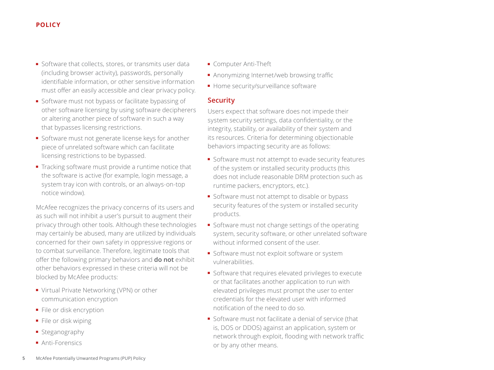- Software that collects, stores, or transmits user data (including browser activity), passwords, personally identifiable information, or other sensitive information must offer an easily accessible and clear privacy policy.
- Software must not bypass or facilitate bypassing of other software licensing by using software decipherers or altering another piece of software in such a way that bypasses licensing restrictions.
- Software must not generate license keys for another piece of unrelated software which can facilitate licensing restrictions to be bypassed.
- Tracking software must provide a runtime notice that the software is active (for example, login message, a system tray icon with controls, or an always-on-top notice window).

McAfee recognizes the privacy concerns of its users and as such will not inhibit a user's pursuit to augment their privacy through other tools. Although these technologies may certainly be abused, many are utilized by individuals concerned for their own safety in oppressive regions or to combat surveillance. Therefore, legitimate tools that offer the following primary behaviors and **do not** exhibit other behaviors expressed in these criteria will not be blocked by McAfee products:

- Virtual Private Networking (VPN) or other communication encryption
- File or disk encryption
- File or disk wiping
- Steganography
- Anti-Forensics
- Computer Anti-Theft
- Anonymizing Internet/web browsing traffic
- Home security/surveillance software

#### **Security**

Users expect that software does not impede their system security settings, data confidentiality, or the integrity, stability, or availability of their system and its resources. Criteria for determining objectionable behaviors impacting security are as follows:

- Software must not attempt to evade security features of the system or installed security products (this does not include reasonable DRM protection such as runtime packers, encryptors, etc.).
- Software must not attempt to disable or bypass security features of the system or installed security products.
- Software must not change settings of the operating system, security software, or other unrelated software without informed consent of the user.
- Software must not exploit software or system vulnerabilities.
- Software that requires elevated privileges to execute or that facilitates another application to run with elevated privileges must prompt the user to enter credentials for the elevated user with informed notification of the need to do so.
- Software must not facilitate a denial of service (that is, DOS or DDOS) against an application, system or network through exploit, flooding with network traffic or by any other means.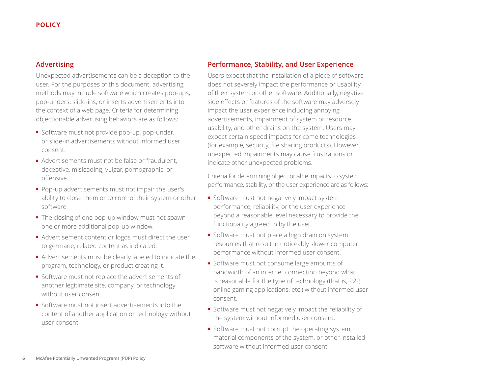#### **Advertising**

Unexpected advertisements can be a deception to the user. For the purposes of this document, advertising methods may include software which creates pop-ups, pop-unders, slide-ins, or inserts advertisements into the context of a web page. Criteria for determining objectionable advertising behaviors are as follows:

- Software must not provide pop-up, pop-under, or slide-in advertisements without informed user consent.
- Advertisements must not be false or fraudulent, deceptive, misleading, vulgar, pornographic, or offensive.
- Pop-up advertisements must not impair the user's ability to close them or to control their system or other software.
- The closing of one pop-up window must not spawn one or more additional pop-up window.
- Advertisement content or logos must direct the user to germane, related content as indicated.
- Advertisements must be clearly labeled to indicate the program, technology, or product creating it.
- Software must not replace the advertisements of another legitimate site, company, or technology without user consent.
- Software must not insert advertisements into the content of another application or technology without user consent.

#### **Performance, Stability, and User Experience**

Users expect that the installation of a piece of software does not severely impact the performance or usability of their system or other software. Additionally, negative side effects or features of the software may adversely impact the user experience including annoying advertisements, impairment of system or resource usability, and other drains on the system. Users may expect certain speed impacts for come technologies (for example, security, file sharing products). However, unexpected impairments may cause frustrations or indicate other unexpected problems.

Criteria for determining objectionable impacts to system performance, stability, or the user experience are as follows:

- Software must not negatively impact system performance, reliability, or the user experience beyond a reasonable level necessary to provide the functionality agreed to by the user.
- Software must not place a high drain on system resources that result in noticeably slower computer performance without informed user consent.
- Software must not consume large amounts of bandwidth of an internet connection beyond what is reasonable for the type of technology (that is, P2P, online gaming applications, etc.) without informed user consent.
- Software must not negatively impact the reliability of the system without informed user consent.
- Software must not corrupt the operating system, material components of the system, or other installed software without informed user consent.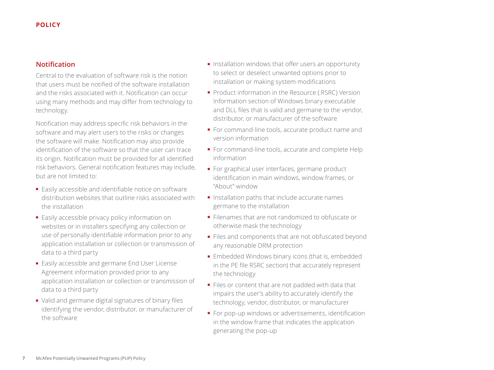#### **Notification**

Central to the evaluation of software risk is the notion that users must be notified of the software installation and the risks associated with it. Notification can occur using many methods and may differ from technology to technology.

Notification may address specific risk behaviors in the software and may alert users to the risks or changes the software will make. Notification may also provide identification of the software so that the user can trace its origin. Notification must be provided for all identified risk behaviors. General notification features may include, but are not limited to:

- Easily accessible and identifiable notice on software distribution websites that outline risks associated with the installation
- Easily accessible privacy policy information on websites or in installers specifying any collection or use of personally identifiable information prior to any application installation or collection or transmission of data to a third party
- Easily accessible and germane End User License Agreement information provided prior to any application installation or collection or transmission of data to a third party
- Valid and germane digital signatures of binary files identifying the vendor, distributor, or manufacturer of the software
- Installation windows that offer users an opportunity to select or deselect unwanted options prior to installation or making system modifications
- Product information in the Resource (.RSRC) Version Information section of Windows binary executable and DLL files that is valid and germane to the vendor, distributor, or manufacturer of the software
- For command-line tools, accurate product name and version information
- For command-line tools, accurate and complete Help information
- For graphical user interfaces, germane product identification in main windows, window frames, or "About" window
- Installation paths that include accurate names germane to the installation
- Filenames that are not randomized to obfuscate or otherwise mask the technology
- Files and components that are not obfuscated beyond any reasonable DRM protection
- Embedded Windows binary icons (that is, embedded in the PE file RSRC section) that accurately represent the technology
- Files or content that are not padded with data that impairs the user's ability to accurately identify the technology, vendor, distributor, or manufacturer
- For pop-up windows or advertisements, identification in the window frame that indicates the application generating the pop-up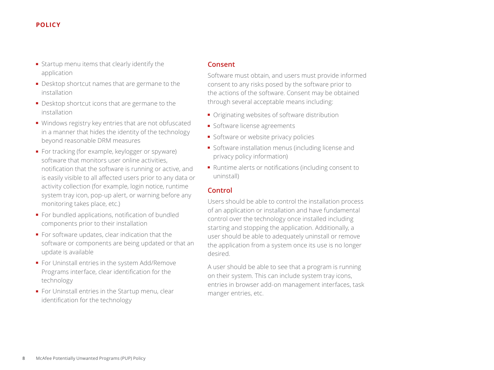- Startup menu items that clearly identify the application
- Desktop shortcut names that are germane to the installation
- Desktop shortcut icons that are germane to the installation
- Windows registry key entries that are not obfuscated in a manner that hides the identity of the technology beyond reasonable DRM measures
- For tracking (for example, keylogger or spyware) software that monitors user online activities, notification that the software is running or active, and is easily visible to all affected users prior to any data or activity collection (for example, login notice, runtime system tray icon, pop-up alert, or warning before any monitoring takes place, etc.)
- For bundled applications, notification of bundled components prior to their installation
- For software updates, clear indication that the software or components are being updated or that an update is available
- For Uninstall entries in the system Add/Remove Programs interface, clear identification for the technology
- For Uninstall entries in the Startup menu, clear identification for the technology

#### **Consent**

Software must obtain, and users must provide informed consent to any risks posed by the software prior to the actions of the software. Consent may be obtained through several acceptable means including:

- Originating websites of software distribution
- Software license agreements
- Software or website privacy policies
- Software installation menus (including license and privacy policy information)
- Runtime alerts or notifications (including consent to uninstall)

#### **Control**

Users should be able to control the installation process of an application or installation and have fundamental control over the technology once installed including starting and stopping the application. Additionally, a user should be able to adequately uninstall or remove the application from a system once its use is no longer desired.

A user should be able to see that a program is running on their system. This can include system tray icons, entries in browser add-on management interfaces, task manger entries, etc.